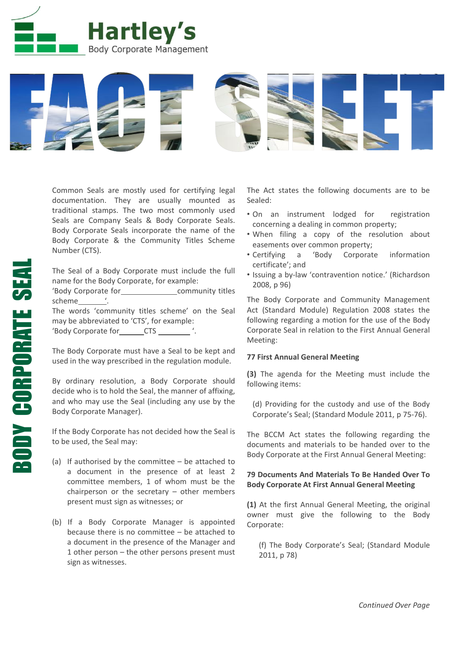



Common Seals are mostly used for certifying legal documentation. They are usually mounted as traditional stamps. The two most commonly used Seals are Company Seals & Body Corporate Seals. Body Corporate Seals incorporate the name of the Body Corporate & the Community Titles Scheme Number (CTS).

The Seal of a Body Corporate must include the full name for the Body Corporate, for example:

'Body Corporate for community titles scheme '.

The words 'community titles scheme' on the Seal may be abbreviated to 'CTS', for example: 'Body Corporate for CTS '.

The Body Corporate must have a Seal to be kept and used in the way prescribed in the regulation module.

By ordinary resolution, a Body Corporate should decide who is to hold the Seal, the manner of affixing, and who may use the Seal (including any use by the Body Corporate Manager).

If the Body Corporate has not decided how the Seal is to be used, the Seal may:

- (a) If authorised by the committee  $-$  be attached to a document in the presence of at least 2 committee members, 1 of whom must be the chairperson or the secretary  $-$  other members present must sign as witnesses; or
- (b) If a Body Corporate Manager is appointed because there is no committee – be attached to a document in the presence of the Manager and 1 other person – the other persons present must sign as witnesses.

The Act states the following documents are to be Sealed:

- On an instrument lodged for registration concerning a dealing in common property;
- When filing a copy of the resolution about easements over common property;
- Certifying a 'Body Corporate information certificate'; and
- Issuing a by-law 'contravention notice.' (Richardson 2008, p 96)

The Body Corporate and Community Management Act (Standard Module) Regulation 2008 states the following regarding a motion for the use of the Body Corporate Seal in relation to the First Annual General Meeting:

## **77 First Annual General Meeting**

**(3)** The agenda for the Meeting must include the following items:

(d) Providing for the custody and use of the Body Corporate's Seal; (Standard Module 2011, p 75-76).

The BCCM Act states the following regarding the documents and materials to be handed over to the Body Corporate at the First Annual General Meeting:

## **79 Documents And Materials To Be Handed Over To Body Corporate At First Annual General Meeting**

**(1)** At the first Annual General Meeting, the original owner must give the following to the Body Corporate:

(f) The Body Corporate's Seal; (Standard Module 2011, p 78)